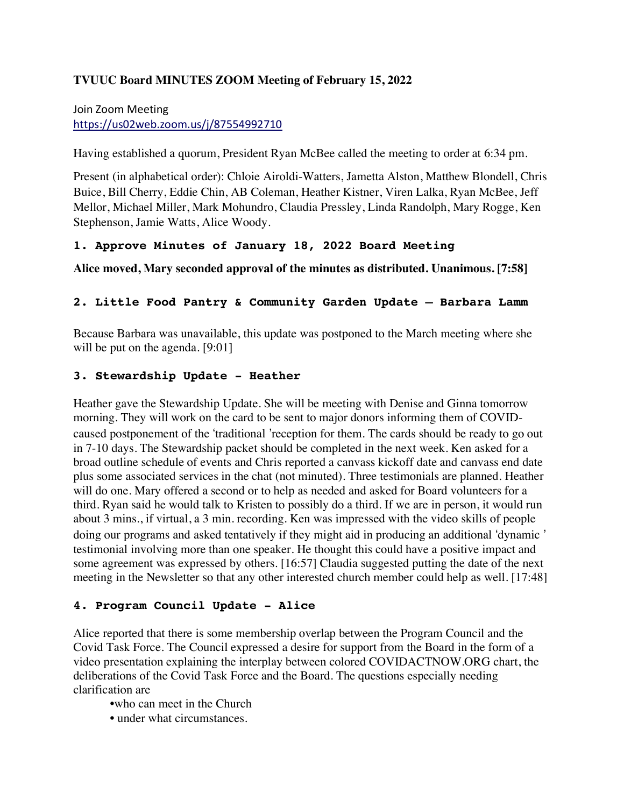#### **TVUUC Board MINUTES ZOOM Meeting of February 15, 2022**

## Join Zoom Meeting https://us02web.zoom.us/j/87554992710

Having established a quorum, President Ryan McBee called the meeting to order at 6:34 pm.

Present (in alphabetical order): Chloie Airoldi-Watters, Jametta Alston, Matthew Blondell, Chris Buice, Bill Cherry, Eddie Chin, AB Coleman, Heather Kistner, Viren Lalka, Ryan McBee, Jeff Mellor, Michael Miller, Mark Mohundro, Claudia Pressley, Linda Randolph, Mary Rogge, Ken Stephenson, Jamie Watts, Alice Woody.

#### **1. Approve Minutes of January 18, 2022 Board Meeting**

**Alice moved, Mary seconded approval of the minutes as distributed. Unanimous. [7:58]**

#### **2. Little Food Pantry & Community Garden Update – Barbara Lamm**

Because Barbara was unavailable, this update was postponed to the March meeting where she will be put on the agenda. [9:01]

#### **3. Stewardship Update - Heather**

Heather gave the Stewardship Update. She will be meeting with Denise and Ginna tomorrow morning. They will work on the card to be sent to major donors informing them of COVIDcaused postponement of the 'traditional 'reception for them. The cards should be ready to go out in 7-10 days. The Stewardship packet should be completed in the next week. Ken asked for a broad outline schedule of events and Chris reported a canvass kickoff date and canvass end date plus some associated services in the chat (not minuted). Three testimonials are planned. Heather will do one. Mary offered a second or to help as needed and asked for Board volunteers for a third. Ryan said he would talk to Kristen to possibly do a third. If we are in person, it would run about 3 mins., if virtual, a 3 min. recording. Ken was impressed with the video skills of people doing our programs and asked tentatively if they might aid in producing an additional 'dynamic' testimonial involving more than one speaker. He thought this could have a positive impact and some agreement was expressed by others. [16:57] Claudia suggested putting the date of the next meeting in the Newsletter so that any other interested church member could help as well. [17:48]

#### **4. Program Council Update - Alice**

Alice reported that there is some membership overlap between the Program Council and the Covid Task Force. The Council expressed a desire for support from the Board in the form of a video presentation explaining the interplay between colored COVIDACTNOW.ORG chart, the deliberations of the Covid Task Force and the Board. The questions especially needing clarification are

•who can meet in the Church

• under what circumstances.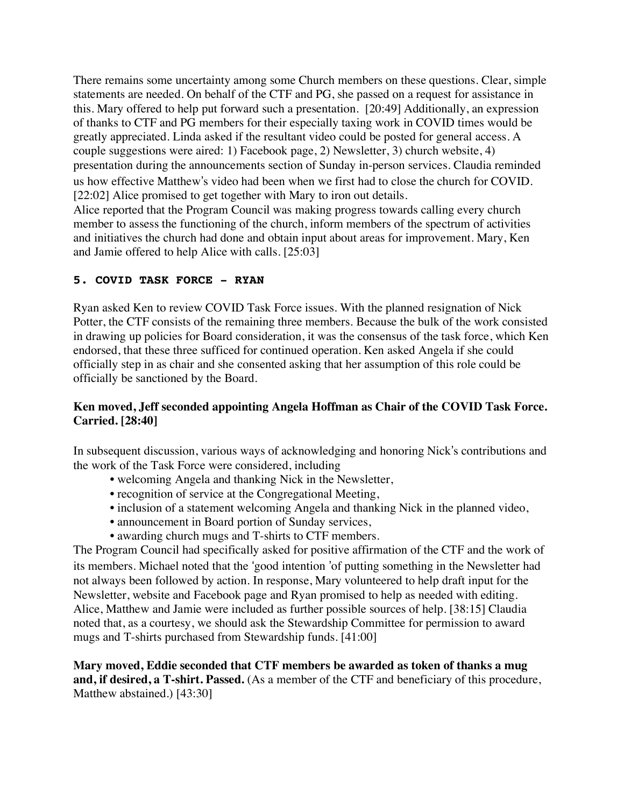There remains some uncertainty among some Church members on these questions. Clear, simple statements are needed. On behalf of the CTF and PG, she passed on a request for assistance in this. Mary offered to help put forward such a presentation. [20:49] Additionally, an expression of thanks to CTF and PG members for their especially taxing work in COVID times would be greatly appreciated. Linda asked if the resultant video could be posted for general access. A couple suggestions were aired: 1) Facebook page, 2) Newsletter, 3) church website, 4) presentation during the announcements section of Sunday in-person services. Claudia reminded us how effective Matthew#s video had been when we first had to close the church for COVID. [22:02] Alice promised to get together with Mary to iron out details.

Alice reported that the Program Council was making progress towards calling every church member to assess the functioning of the church, inform members of the spectrum of activities and initiatives the church had done and obtain input about areas for improvement. Mary, Ken and Jamie offered to help Alice with calls. [25:03]

### **5. COVID TASK FORCE - RYAN**

Ryan asked Ken to review COVID Task Force issues. With the planned resignation of Nick Potter, the CTF consists of the remaining three members. Because the bulk of the work consisted in drawing up policies for Board consideration, it was the consensus of the task force, which Ken endorsed, that these three sufficed for continued operation. Ken asked Angela if she could officially step in as chair and she consented asking that her assumption of this role could be officially be sanctioned by the Board.

### **Ken moved, Jeff seconded appointing Angela Hoffman as Chair of the COVID Task Force. Carried. [28:40]**

In subsequent discussion, various ways of acknowledging and honoring Nick's contributions and the work of the Task Force were considered, including

- welcoming Angela and thanking Nick in the Newsletter,
- recognition of service at the Congregational Meeting,
- inclusion of a statement welcoming Angela and thanking Nick in the planned video,
- announcement in Board portion of Sunday services,
- awarding church mugs and T-shirts to CTF members.

The Program Council had specifically asked for positive affirmation of the CTF and the work of its members. Michael noted that the 'good intention 'of putting something in the Newsletter had not always been followed by action. In response, Mary volunteered to help draft input for the Newsletter, website and Facebook page and Ryan promised to help as needed with editing. Alice, Matthew and Jamie were included as further possible sources of help. [38:15] Claudia noted that, as a courtesy, we should ask the Stewardship Committee for permission to award mugs and T-shirts purchased from Stewardship funds. [41:00]

**Mary moved, Eddie seconded that CTF members be awarded as token of thanks a mug and, if desired, a T-shirt. Passed.** (As a member of the CTF and beneficiary of this procedure, Matthew abstained.) [43:30]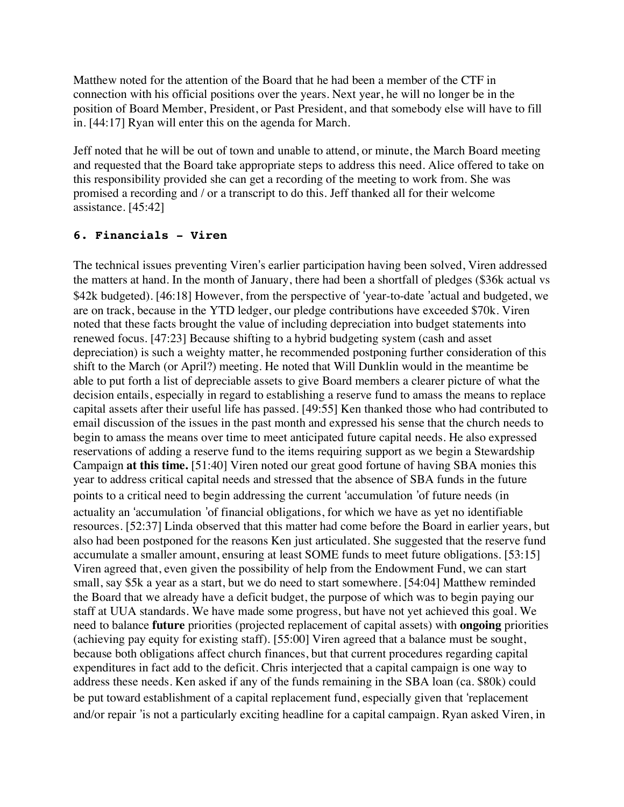Matthew noted for the attention of the Board that he had been a member of the CTF in connection with his official positions over the years. Next year, he will no longer be in the position of Board Member, President, or Past President, and that somebody else will have to fill in. [44:17] Ryan will enter this on the agenda for March.

Jeff noted that he will be out of town and unable to attend, or minute, the March Board meeting and requested that the Board take appropriate steps to address this need. Alice offered to take on this responsibility provided she can get a recording of the meeting to work from. She was promised a recording and / or a transcript to do this. Jeff thanked all for their welcome assistance. [45:42]

#### **6. Financials - Viren**

The technical issues preventing Viren's earlier participation having been solved, Viren addressed the matters at hand. In the month of January, there had been a shortfall of pledges (\$36k actual vs \$42k budgeted). [46:18] However, from the perspective of 'year-to-date 'actual and budgeted, we are on track, because in the YTD ledger, our pledge contributions have exceeded \$70k. Viren noted that these facts brought the value of including depreciation into budget statements into renewed focus. [47:23] Because shifting to a hybrid budgeting system (cash and asset depreciation) is such a weighty matter, he recommended postponing further consideration of this shift to the March (or April?) meeting. He noted that Will Dunklin would in the meantime be able to put forth a list of depreciable assets to give Board members a clearer picture of what the decision entails, especially in regard to establishing a reserve fund to amass the means to replace capital assets after their useful life has passed. [49:55] Ken thanked those who had contributed to email discussion of the issues in the past month and expressed his sense that the church needs to begin to amass the means over time to meet anticipated future capital needs. He also expressed reservations of adding a reserve fund to the items requiring support as we begin a Stewardship Campaign **at this time.** [51:40] Viren noted our great good fortune of having SBA monies this year to address critical capital needs and stressed that the absence of SBA funds in the future points to a critical need to begin addressing the current 'accumulation 'of future needs (in actuality an 'accumulation 'of financial obligations, for which we have as yet no identifiable resources. [52:37] Linda observed that this matter had come before the Board in earlier years, but also had been postponed for the reasons Ken just articulated. She suggested that the reserve fund accumulate a smaller amount, ensuring at least SOME funds to meet future obligations. [53:15] Viren agreed that, even given the possibility of help from the Endowment Fund, we can start small, say \$5k a year as a start, but we do need to start somewhere. [54:04] Matthew reminded the Board that we already have a deficit budget, the purpose of which was to begin paying our staff at UUA standards. We have made some progress, but have not yet achieved this goal. We need to balance **future** priorities (projected replacement of capital assets) with **ongoing** priorities (achieving pay equity for existing staff). [55:00] Viren agreed that a balance must be sought, because both obligations affect church finances, but that current procedures regarding capital expenditures in fact add to the deficit. Chris interjected that a capital campaign is one way to address these needs. Ken asked if any of the funds remaining in the SBA loan (ca. \$80k) could be put toward establishment of a capital replacement fund, especially given that 'replacement and/or repair 'is not a particularly exciting headline for a capital campaign. Ryan asked Viren, in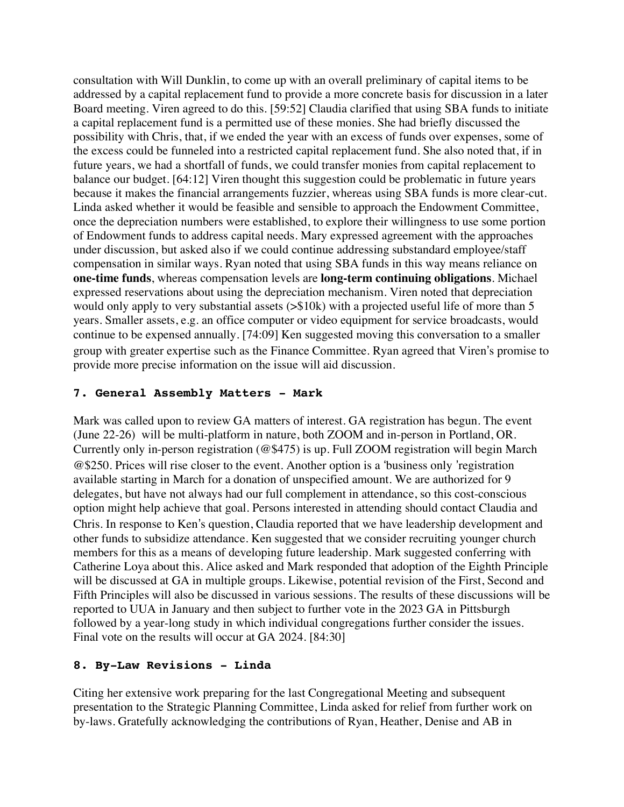consultation with Will Dunklin, to come up with an overall preliminary of capital items to be addressed by a capital replacement fund to provide a more concrete basis for discussion in a later Board meeting. Viren agreed to do this. [59:52] Claudia clarified that using SBA funds to initiate a capital replacement fund is a permitted use of these monies. She had briefly discussed the possibility with Chris, that, if we ended the year with an excess of funds over expenses, some of the excess could be funneled into a restricted capital replacement fund. She also noted that, if in future years, we had a shortfall of funds, we could transfer monies from capital replacement to balance our budget. [64:12] Viren thought this suggestion could be problematic in future years because it makes the financial arrangements fuzzier, whereas using SBA funds is more clear-cut. Linda asked whether it would be feasible and sensible to approach the Endowment Committee, once the depreciation numbers were established, to explore their willingness to use some portion of Endowment funds to address capital needs. Mary expressed agreement with the approaches under discussion, but asked also if we could continue addressing substandard employee/staff compensation in similar ways. Ryan noted that using SBA funds in this way means reliance on **one-time funds**, whereas compensation levels are **long-term continuing obligations**. Michael expressed reservations about using the depreciation mechanism. Viren noted that depreciation would only apply to very substantial assets (>\$10k) with a projected useful life of more than 5 years. Smaller assets, e.g. an office computer or video equipment for service broadcasts, would continue to be expensed annually. [74:09] Ken suggested moving this conversation to a smaller group with greater expertise such as the Finance Committee. Ryan agreed that Viren's promise to provide more precise information on the issue will aid discussion.

### **7. General Assembly Matters - Mark**

Mark was called upon to review GA matters of interest. GA registration has begun. The event (June 22-26) will be multi-platform in nature, both ZOOM and in-person in Portland, OR. Currently only in-person registration (@\$475) is up. Full ZOOM registration will begin March  $@$250$ . Prices will rise closer to the event. Another option is a 'business only 'registration available starting in March for a donation of unspecified amount. We are authorized for 9 delegates, but have not always had our full complement in attendance, so this cost-conscious option might help achieve that goal. Persons interested in attending should contact Claudia and Chris. In response to Ken's question, Claudia reported that we have leadership development and other funds to subsidize attendance. Ken suggested that we consider recruiting younger church members for this as a means of developing future leadership. Mark suggested conferring with Catherine Loya about this. Alice asked and Mark responded that adoption of the Eighth Principle will be discussed at GA in multiple groups. Likewise, potential revision of the First, Second and Fifth Principles will also be discussed in various sessions. The results of these discussions will be reported to UUA in January and then subject to further vote in the 2023 GA in Pittsburgh followed by a year-long study in which individual congregations further consider the issues. Final vote on the results will occur at GA 2024. [84:30]

### **8. By-Law Revisions - Linda**

Citing her extensive work preparing for the last Congregational Meeting and subsequent presentation to the Strategic Planning Committee, Linda asked for relief from further work on by-laws. Gratefully acknowledging the contributions of Ryan, Heather, Denise and AB in